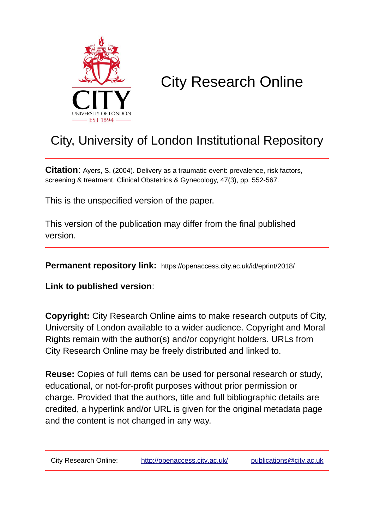

# City Research Online

## City, University of London Institutional Repository

**Citation**: Ayers, S. (2004). Delivery as a traumatic event: prevalence, risk factors, screening & treatment. Clinical Obstetrics & Gynecology, 47(3), pp. 552-567.

This is the unspecified version of the paper.

This version of the publication may differ from the final published version.

**Permanent repository link:** https://openaccess.city.ac.uk/id/eprint/2018/

**Link to published version**:

**Copyright:** City Research Online aims to make research outputs of City, University of London available to a wider audience. Copyright and Moral Rights remain with the author(s) and/or copyright holders. URLs from City Research Online may be freely distributed and linked to.

**Reuse:** Copies of full items can be used for personal research or study, educational, or not-for-profit purposes without prior permission or charge. Provided that the authors, title and full bibliographic details are credited, a hyperlink and/or URL is given for the original metadata page and the content is not changed in any way.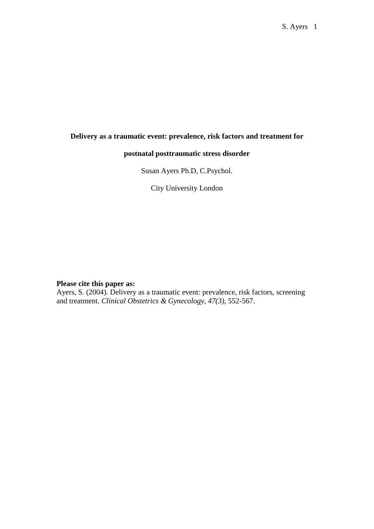### **Delivery as a traumatic event: prevalence, risk factors and treatment for**

#### **postnatal posttraumatic stress disorder**

Susan Ayers Ph.D, C.Psychol.

City University London

#### **Please cite this paper as:**

Ayers, S. (2004). Delivery as a traumatic event: prevalence, risk factors, screening and treatment. *Clinical Obstetrics & Gynecology, 47(3),* 552-567.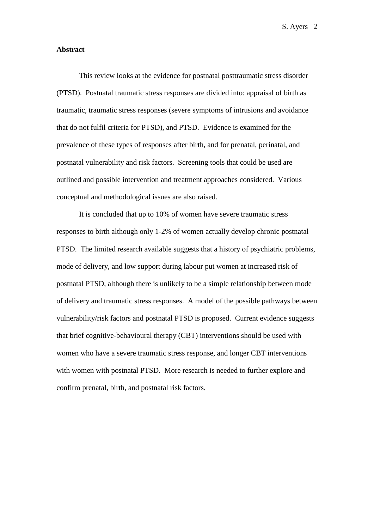#### **Abstract**

This review looks at the evidence for postnatal posttraumatic stress disorder (PTSD). Postnatal traumatic stress responses are divided into: appraisal of birth as traumatic, traumatic stress responses (severe symptoms of intrusions and avoidance that do not fulfil criteria for PTSD), and PTSD. Evidence is examined for the prevalence of these types of responses after birth, and for prenatal, perinatal, and postnatal vulnerability and risk factors. Screening tools that could be used are outlined and possible intervention and treatment approaches considered. Various conceptual and methodological issues are also raised.

It is concluded that up to 10% of women have severe traumatic stress responses to birth although only 1-2% of women actually develop chronic postnatal PTSD. The limited research available suggests that a history of psychiatric problems, mode of delivery, and low support during labour put women at increased risk of postnatal PTSD, although there is unlikely to be a simple relationship between mode of delivery and traumatic stress responses. A model of the possible pathways between vulnerability/risk factors and postnatal PTSD is proposed. Current evidence suggests that brief cognitive-behavioural therapy (CBT) interventions should be used with women who have a severe traumatic stress response, and longer CBT interventions with women with postnatal PTSD. More research is needed to further explore and confirm prenatal, birth, and postnatal risk factors.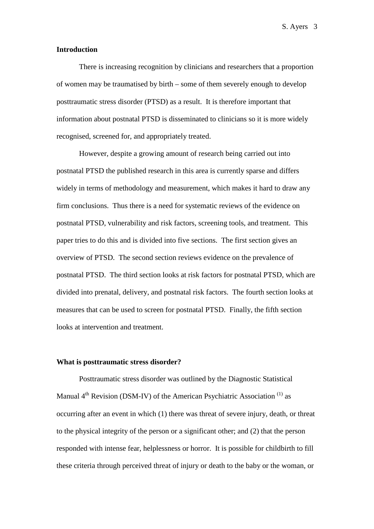#### **Introduction**

There is increasing recognition by clinicians and researchers that a proportion of women may be traumatised by birth – some of them severely enough to develop posttraumatic stress disorder (PTSD) as a result. It is therefore important that information about postnatal PTSD is disseminated to clinicians so it is more widely recognised, screened for, and appropriately treated.

However, despite a growing amount of research being carried out into postnatal PTSD the published research in this area is currently sparse and differs widely in terms of methodology and measurement, which makes it hard to draw any firm conclusions. Thus there is a need for systematic reviews of the evidence on postnatal PTSD, vulnerability and risk factors, screening tools, and treatment. This paper tries to do this and is divided into five sections. The first section gives an overview of PTSD. The second section reviews evidence on the prevalence of postnatal PTSD. The third section looks at risk factors for postnatal PTSD, which are divided into prenatal, delivery, and postnatal risk factors. The fourth section looks at measures that can be used to screen for postnatal PTSD. Finally, the fifth section looks at intervention and treatment.

#### **What is posttraumatic stress disorder?**

Posttraumatic stress disorder was outlined by the Diagnostic Statistical Manual  $4<sup>th</sup>$  Revision (DSM-IV) of the American Psychiatric Association<sup>(1)</sup> as occurring after an event in which (1) there was threat of severe injury, death, or threat to the physical integrity of the person or a significant other; and (2) that the person responded with intense fear, helplessness or horror. It is possible for childbirth to fill these criteria through perceived threat of injury or death to the baby or the woman, or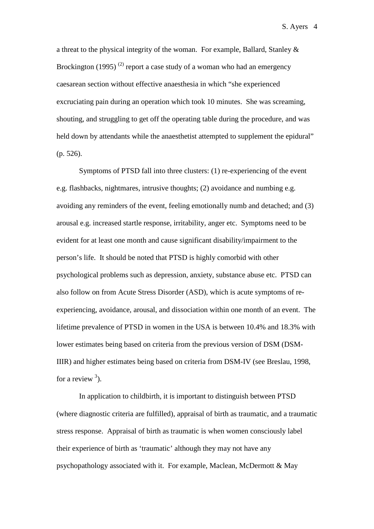a threat to the physical integrity of the woman. For example, Ballard, Stanley & Brockington (1995)<sup>(2)</sup> report a case study of a woman who had an emergency caesarean section without effective anaesthesia in which "she experienced excruciating pain during an operation which took 10 minutes. She was screaming, shouting, and struggling to get off the operating table during the procedure, and was held down by attendants while the anaesthetist attempted to supplement the epidural" (p. 526).

Symptoms of PTSD fall into three clusters: (1) re-experiencing of the event e.g. flashbacks, nightmares, intrusive thoughts; (2) avoidance and numbing e.g. avoiding any reminders of the event, feeling emotionally numb and detached; and (3) arousal e.g. increased startle response, irritability, anger etc. Symptoms need to be evident for at least one month and cause significant disability/impairment to the person's life. It should be noted that PTSD is highly comorbid with other psychological problems such as depression, anxiety, substance abuse etc. PTSD can also follow on from Acute Stress Disorder (ASD), which is acute symptoms of reexperiencing, avoidance, arousal, and dissociation within one month of an event. The lifetime prevalence of PTSD in women in the USA is between 10.4% and 18.3% with lower estimates being based on criteria from the previous version of DSM (DSM-IIIR) and higher estimates being based on criteria from DSM-IV (see Breslau, 1998, for a review  $3$ ).

In application to childbirth, it is important to distinguish between PTSD (where diagnostic criteria are fulfilled), appraisal of birth as traumatic, and a traumatic stress response. Appraisal of birth as traumatic is when women consciously label their experience of birth as 'traumatic' although they may not have any psychopathology associated with it. For example, Maclean, McDermott & May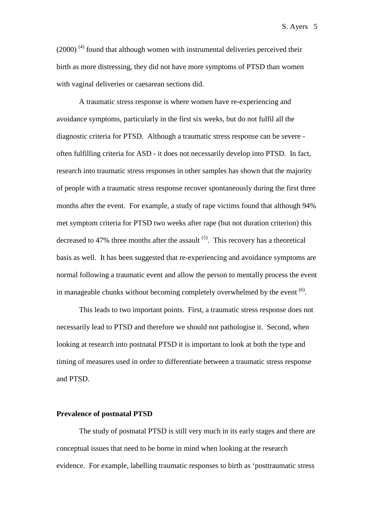$(2000)$ <sup>(4)</sup> found that although women with instrumental deliveries perceived their birth as more distressing, they did not have more symptoms of PTSD than women with vaginal deliveries or caesarean sections did.

A traumatic stress response is where women have re-experiencing and avoidance symptoms, particularly in the first six weeks, but do not fulfil all the diagnostic criteria for PTSD. Although a traumatic stress response can be severe often fulfilling criteria for ASD - it does not necessarily develop into PTSD. In fact, research into traumatic stress responses in other samples has shown that the majority of people with a traumatic stress response recover spontaneously during the first three months after the event. For example, a study of rape victims found that although 94% met symptom criteria for PTSD two weeks after rape (but not duration criterion) this decreased to 47% three months after the assault  $(5)$ . This recovery has a theoretical basis as well. It has been suggested that re-experiencing and avoidance symptoms are normal following a traumatic event and allow the person to mentally process the event in manageable chunks without becoming completely overwhelmed by the event  $(6)$ .

This leads to two important points. First, a traumatic stress response does not necessarily lead to PTSD and therefore we should not pathologise it. Second, when looking at research into postnatal PTSD it is important to look at both the type and timing of measures used in order to differentiate between a traumatic stress response and PTSD.

#### **Prevalence of postnatal PTSD**

The study of postnatal PTSD is still very much in its early stages and there are conceptual issues that need to be borne in mind when looking at the research evidence. For example, labelling traumatic responses to birth as 'posttraumatic stress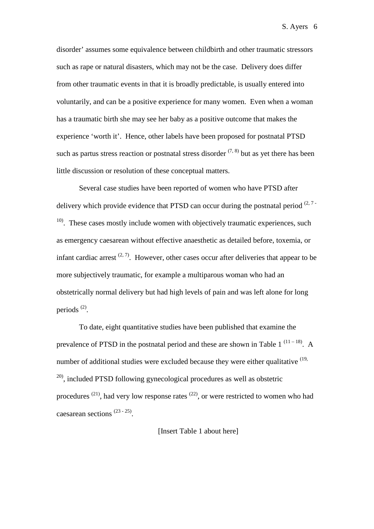disorder' assumes some equivalence between childbirth and other traumatic stressors such as rape or natural disasters, which may not be the case. Delivery does differ from other traumatic events in that it is broadly predictable, is usually entered into voluntarily, and can be a positive experience for many women. Even when a woman has a traumatic birth she may see her baby as a positive outcome that makes the experience 'worth it'. Hence, other labels have been proposed for postnatal PTSD such as partus stress reaction or postnatal stress disorder  $(7, 8)$  but as yet there has been little discussion or resolution of these conceptual matters.

Several case studies have been reported of women who have PTSD after delivery which provide evidence that PTSD can occur during the postnatal period  $(2, 7 10$ . These cases mostly include women with objectively traumatic experiences, such as emergency caesarean without effective anaesthetic as detailed before, toxemia, or infant cardiac arrest  $(2, 7)$ . However, other cases occur after deliveries that appear to be more subjectively traumatic, for example a multiparous woman who had an obstetrically normal delivery but had high levels of pain and was left alone for long periods (2).

To date, eight quantitative studies have been published that examine the prevalence of PTSD in the postnatal period and these are shown in Table 1<sup> $(11-18)$ </sup>. A number of additional studies were excluded because they were either qualitative  $(19, 19)$  $^{20)}$ , included PTSD following gynecological procedures as well as obstetric procedures  $(21)$ , had very low response rates  $(22)$ , or were restricted to women who had caesarean sections (23 - 25).

#### [Insert Table 1 about here]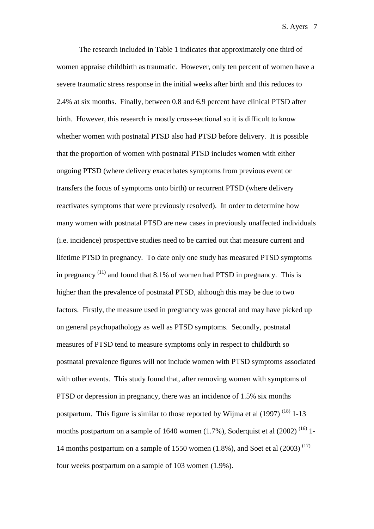The research included in Table 1 indicates that approximately one third of women appraise childbirth as traumatic. However, only ten percent of women have a severe traumatic stress response in the initial weeks after birth and this reduces to 2.4% at six months. Finally, between 0.8 and 6.9 percent have clinical PTSD after birth. However, this research is mostly cross-sectional so it is difficult to know whether women with postnatal PTSD also had PTSD before delivery. It is possible that the proportion of women with postnatal PTSD includes women with either ongoing PTSD (where delivery exacerbates symptoms from previous event or transfers the focus of symptoms onto birth) or recurrent PTSD (where delivery reactivates symptoms that were previously resolved). In order to determine how many women with postnatal PTSD are new cases in previously unaffected individuals (i.e. incidence) prospective studies need to be carried out that measure current and lifetime PTSD in pregnancy. To date only one study has measured PTSD symptoms in pregnancy  $(11)$  and found that 8.1% of women had PTSD in pregnancy. This is higher than the prevalence of postnatal PTSD, although this may be due to two factors. Firstly, the measure used in pregnancy was general and may have picked up on general psychopathology as well as PTSD symptoms. Secondly, postnatal measures of PTSD tend to measure symptoms only in respect to childbirth so postnatal prevalence figures will not include women with PTSD symptoms associated with other events. This study found that, after removing women with symptoms of PTSD or depression in pregnancy, there was an incidence of 1.5% six months postpartum. This figure is similar to those reported by Wijma et al  $(1997)^{(18)}$  1-13 months postpartum on a sample of 1640 women  $(1.7\%)$ , Soderquist et al  $(2002)^{(16)}$  1-14 months postpartum on a sample of 1550 women  $(1.8\%)$ , and Soet et al  $(2003)^{(17)}$ four weeks postpartum on a sample of 103 women (1.9%).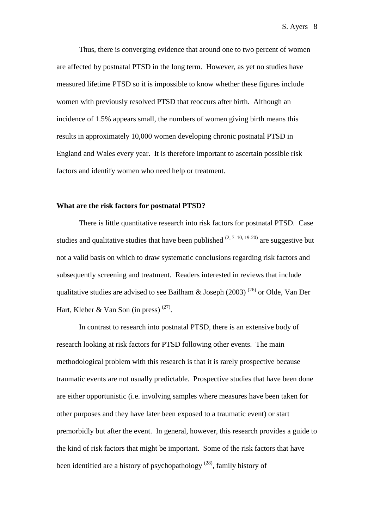Thus, there is converging evidence that around one to two percent of women are affected by postnatal PTSD in the long term. However, as yet no studies have measured lifetime PTSD so it is impossible to know whether these figures include women with previously resolved PTSD that reoccurs after birth. Although an incidence of 1.5% appears small, the numbers of women giving birth means this results in approximately 10,000 women developing chronic postnatal PTSD in England and Wales every year. It is therefore important to ascertain possible risk factors and identify women who need help or treatment.

#### **What are the risk factors for postnatal PTSD?**

There is little quantitative research into risk factors for postnatal PTSD. Case studies and qualitative studies that have been published  $(2, 7-10, 19-20)$  are suggestive but not a valid basis on which to draw systematic conclusions regarding risk factors and subsequently screening and treatment. Readers interested in reviews that include qualitative studies are advised to see Bailham & Joseph (2003)<sup>(26)</sup> or Olde, Van Der Hart, Kleber & Van Son (in press)  $^{(27)}$ .

In contrast to research into postnatal PTSD, there is an extensive body of research looking at risk factors for PTSD following other events. The main methodological problem with this research is that it is rarely prospective because traumatic events are not usually predictable. Prospective studies that have been done are either opportunistic (i.e. involving samples where measures have been taken for other purposes and they have later been exposed to a traumatic event) or start premorbidly but after the event. In general, however, this research provides a guide to the kind of risk factors that might be important. Some of the risk factors that have been identified are a history of psychopathology  $(28)$ , family history of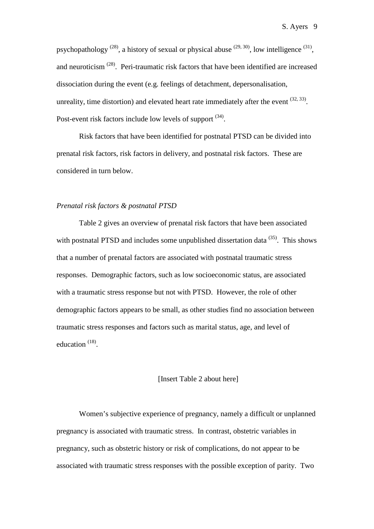psychopathology  $^{(28)}$ , a history of sexual or physical abuse  $^{(29, 30)}$ , low intelligence  $^{(31)}$ , and neuroticism  $(28)$ . Peri-traumatic risk factors that have been identified are increased dissociation during the event (e.g. feelings of detachment, depersonalisation, unreality, time distortion) and elevated heart rate immediately after the event  $(32, 33)$ . Post-event risk factors include low levels of support  $(34)$ .

Risk factors that have been identified for postnatal PTSD can be divided into prenatal risk factors, risk factors in delivery, and postnatal risk factors. These are considered in turn below.

#### *Prenatal risk factors & postnatal PTSD*

Table 2 gives an overview of prenatal risk factors that have been associated with postnatal PTSD and includes some unpublished dissertation data  $(35)$ . This shows that a number of prenatal factors are associated with postnatal traumatic stress responses. Demographic factors, such as low socioeconomic status, are associated with a traumatic stress response but not with PTSD. However, the role of other demographic factors appears to be small, as other studies find no association between traumatic stress responses and factors such as marital status, age, and level of education (18).

#### [Insert Table 2 about here]

Women's subjective experience of pregnancy, namely a difficult or unplanned pregnancy is associated with traumatic stress. In contrast, obstetric variables in pregnancy, such as obstetric history or risk of complications, do not appear to be associated with traumatic stress responses with the possible exception of parity. Two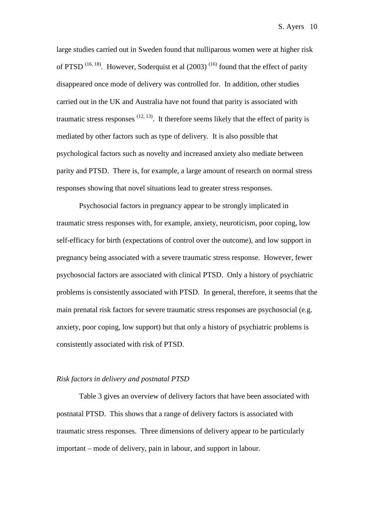large studies carried out in Sweden found that nulliparous women were at higher risk of PTSD  $^{(16, 18)}$ . However, Soderquist et al (2003)  $^{(16)}$  found that the effect of parity disappeared once mode of delivery was controlled for. In addition, other studies carried out in the UK and Australia have not found that parity is associated with traumatic stress responses  $(12, 13)$ . It therefore seems likely that the effect of parity is mediated by other factors such as type of delivery. It is also possible that psychological factors such as novelty and increased anxiety also mediate between parity and PTSD. There is, for example, a large amount of research on normal stress responses showing that novel situations lead to greater stress responses.

Psychosocial factors in pregnancy appear to be strongly implicated in traumatic stress responses with, for example, anxiety, neuroticism, poor coping, low self-efficacy for birth (expectations of control over the outcome), and low support in pregnancy being associated with a severe traumatic stress response. However, fewer psychosocial factors are associated with clinical PTSD. Only a history of psychiatric problems is consistently associated with PTSD. In general, therefore, it seems that the main prenatal risk factors for severe traumatic stress responses are psychosocial (e.g. anxiety, poor coping, low support) but that only a history of psychiatric problems is consistently associated with risk of PTSD.

#### *Risk factors in delivery and postnatal PTSD*

Table 3 gives an overview of delivery factors that have been associated with postnatal PTSD. This shows that a range of delivery factors is associated with traumatic stress responses. Three dimensions of delivery appear to be particularly important – mode of delivery, pain in labour, and support in labour.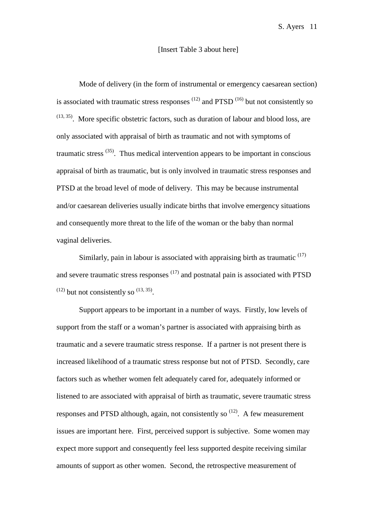#### [Insert Table 3 about here]

Mode of delivery (in the form of instrumental or emergency caesarean section) is associated with traumatic stress responses  $(12)$  and PTSD  $(16)$  but not consistently so  $(13, 35)$ . More specific obstetric factors, such as duration of labour and blood loss, are only associated with appraisal of birth as traumatic and not with symptoms of traumatic stress  $(35)$ . Thus medical intervention appears to be important in conscious appraisal of birth as traumatic, but is only involved in traumatic stress responses and PTSD at the broad level of mode of delivery. This may be because instrumental and/or caesarean deliveries usually indicate births that involve emergency situations and consequently more threat to the life of the woman or the baby than normal vaginal deliveries.

Similarly, pain in labour is associated with appraising birth as traumatic  $(17)$ and severe traumatic stress responses  $(17)$  and postnatal pain is associated with PTSD  $(12)$  but not consistently so  $(13, 35)$ .

Support appears to be important in a number of ways. Firstly, low levels of support from the staff or a woman's partner is associated with appraising birth as traumatic and a severe traumatic stress response. If a partner is not present there is increased likelihood of a traumatic stress response but not of PTSD. Secondly, care factors such as whether women felt adequately cared for, adequately informed or listened to are associated with appraisal of birth as traumatic, severe traumatic stress responses and PTSD although, again, not consistently so  $(12)$ . A few measurement issues are important here. First, perceived support is subjective. Some women may expect more support and consequently feel less supported despite receiving similar amounts of support as other women. Second, the retrospective measurement of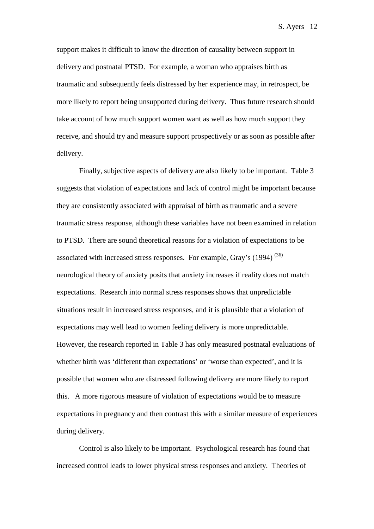support makes it difficult to know the direction of causality between support in delivery and postnatal PTSD. For example, a woman who appraises birth as traumatic and subsequently feels distressed by her experience may, in retrospect, be more likely to report being unsupported during delivery. Thus future research should take account of how much support women want as well as how much support they receive, and should try and measure support prospectively or as soon as possible after delivery.

Finally, subjective aspects of delivery are also likely to be important. Table 3 suggests that violation of expectations and lack of control might be important because they are consistently associated with appraisal of birth as traumatic and a severe traumatic stress response, although these variables have not been examined in relation to PTSD. There are sound theoretical reasons for a violation of expectations to be associated with increased stress responses. For example, Gray's  $(1994)$ <sup>(36)</sup> neurological theory of anxiety posits that anxiety increases if reality does not match expectations. Research into normal stress responses shows that unpredictable situations result in increased stress responses, and it is plausible that a violation of expectations may well lead to women feeling delivery is more unpredictable. However, the research reported in Table 3 has only measured postnatal evaluations of whether birth was 'different than expectations' or 'worse than expected', and it is possible that women who are distressed following delivery are more likely to report this. A more rigorous measure of violation of expectations would be to measure expectations in pregnancy and then contrast this with a similar measure of experiences during delivery.

Control is also likely to be important. Psychological research has found that increased control leads to lower physical stress responses and anxiety. Theories of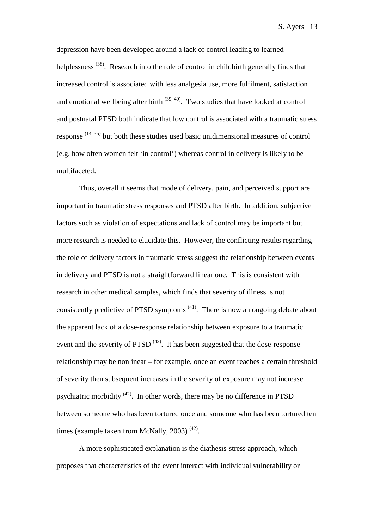depression have been developed around a lack of control leading to learned helplessness <sup>(38)</sup>. Research into the role of control in childbirth generally finds that increased control is associated with less analgesia use, more fulfilment, satisfaction and emotional wellbeing after birth  $(39, 40)$ . Two studies that have looked at control and postnatal PTSD both indicate that low control is associated with a traumatic stress response  $(14, 35)$  but both these studies used basic unidimensional measures of control (e.g. how often women felt 'in control') whereas control in delivery is likely to be multifaceted.

Thus, overall it seems that mode of delivery, pain, and perceived support are important in traumatic stress responses and PTSD after birth. In addition, subjective factors such as violation of expectations and lack of control may be important but more research is needed to elucidate this. However, the conflicting results regarding the role of delivery factors in traumatic stress suggest the relationship between events in delivery and PTSD is not a straightforward linear one. This is consistent with research in other medical samples, which finds that severity of illness is not consistently predictive of PTSD symptoms (41). There is now an ongoing debate about the apparent lack of a dose-response relationship between exposure to a traumatic event and the severity of PTSD  $(42)$ . It has been suggested that the dose-response relationship may be nonlinear – for example, once an event reaches a certain threshold of severity then subsequent increases in the severity of exposure may not increase psychiatric morbidity (42). In other words, there may be no difference in PTSD between someone who has been tortured once and someone who has been tortured ten times (example taken from McNally, 2003)<sup>(42)</sup>.

A more sophisticated explanation is the diathesis-stress approach, which proposes that characteristics of the event interact with individual vulnerability or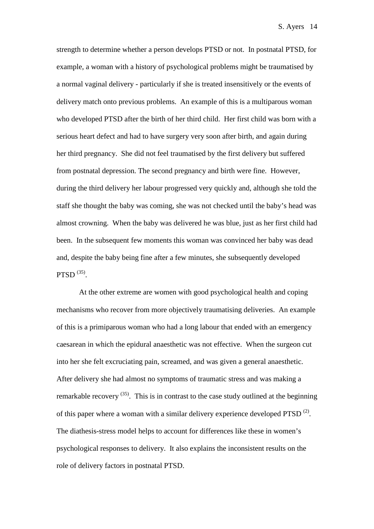strength to determine whether a person develops PTSD or not. In postnatal PTSD, for example, a woman with a history of psychological problems might be traumatised by a normal vaginal delivery - particularly if she is treated insensitively or the events of delivery match onto previous problems. An example of this is a multiparous woman who developed PTSD after the birth of her third child. Her first child was born with a serious heart defect and had to have surgery very soon after birth, and again during her third pregnancy. She did not feel traumatised by the first delivery but suffered from postnatal depression. The second pregnancy and birth were fine. However, during the third delivery her labour progressed very quickly and, although she told the staff she thought the baby was coming, she was not checked until the baby's head was almost crowning. When the baby was delivered he was blue, just as her first child had been. In the subsequent few moments this woman was convinced her baby was dead and, despite the baby being fine after a few minutes, she subsequently developed PTSD  $(35)$ .

At the other extreme are women with good psychological health and coping mechanisms who recover from more objectively traumatising deliveries. An example of this is a primiparous woman who had a long labour that ended with an emergency caesarean in which the epidural anaesthetic was not effective. When the surgeon cut into her she felt excruciating pain, screamed, and was given a general anaesthetic. After delivery she had almost no symptoms of traumatic stress and was making a remarkable recovery  $(35)$ . This is in contrast to the case study outlined at the beginning of this paper where a woman with a similar delivery experience developed PTSD  $^{(2)}$ . The diathesis-stress model helps to account for differences like these in women's psychological responses to delivery. It also explains the inconsistent results on the role of delivery factors in postnatal PTSD.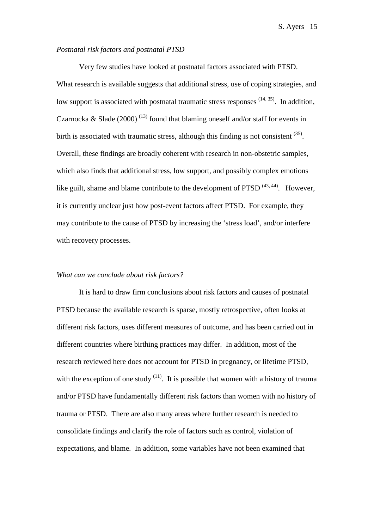#### *Postnatal risk factors and postnatal PTSD*

Very few studies have looked at postnatal factors associated with PTSD. What research is available suggests that additional stress, use of coping strategies, and low support is associated with postnatal traumatic stress responses  $(14, 35)$ . In addition, Czarnocka & Slade (2000)<sup>(13)</sup> found that blaming oneself and/or staff for events in birth is associated with traumatic stress, although this finding is not consistent  $(35)$ . Overall, these findings are broadly coherent with research in non-obstetric samples, which also finds that additional stress, low support, and possibly complex emotions like guilt, shame and blame contribute to the development of PTSD  $(43, 44)$ . However, it is currently unclear just how post-event factors affect PTSD. For example, they may contribute to the cause of PTSD by increasing the 'stress load', and/or interfere with recovery processes.

#### *What can we conclude about risk factors?*

It is hard to draw firm conclusions about risk factors and causes of postnatal PTSD because the available research is sparse, mostly retrospective, often looks at different risk factors, uses different measures of outcome, and has been carried out in different countries where birthing practices may differ. In addition, most of the research reviewed here does not account for PTSD in pregnancy, or lifetime PTSD, with the exception of one study  $(11)$ . It is possible that women with a history of trauma and/or PTSD have fundamentally different risk factors than women with no history of trauma or PTSD. There are also many areas where further research is needed to consolidate findings and clarify the role of factors such as control, violation of expectations, and blame. In addition, some variables have not been examined that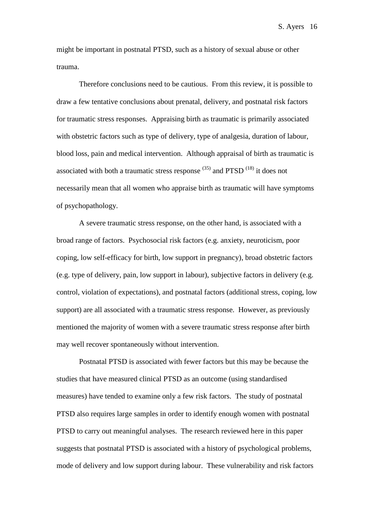might be important in postnatal PTSD, such as a history of sexual abuse or other trauma.

Therefore conclusions need to be cautious. From this review, it is possible to draw a few tentative conclusions about prenatal, delivery, and postnatal risk factors for traumatic stress responses. Appraising birth as traumatic is primarily associated with obstetric factors such as type of delivery, type of analgesia, duration of labour, blood loss, pain and medical intervention. Although appraisal of birth as traumatic is associated with both a traumatic stress response  $(35)$  and PTSD  $(18)$  it does not necessarily mean that all women who appraise birth as traumatic will have symptoms of psychopathology.

A severe traumatic stress response, on the other hand, is associated with a broad range of factors. Psychosocial risk factors (e.g. anxiety, neuroticism, poor coping, low self-efficacy for birth, low support in pregnancy), broad obstetric factors (e.g. type of delivery, pain, low support in labour), subjective factors in delivery (e.g. control, violation of expectations), and postnatal factors (additional stress, coping, low support) are all associated with a traumatic stress response. However, as previously mentioned the majority of women with a severe traumatic stress response after birth may well recover spontaneously without intervention.

Postnatal PTSD is associated with fewer factors but this may be because the studies that have measured clinical PTSD as an outcome (using standardised measures) have tended to examine only a few risk factors. The study of postnatal PTSD also requires large samples in order to identify enough women with postnatal PTSD to carry out meaningful analyses. The research reviewed here in this paper suggests that postnatal PTSD is associated with a history of psychological problems, mode of delivery and low support during labour. These vulnerability and risk factors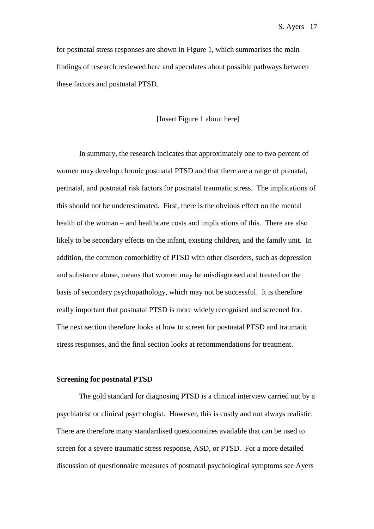for postnatal stress responses are shown in Figure 1, which summarises the main findings of research reviewed here and speculates about possible pathways between these factors and postnatal PTSD.

[Insert Figure 1 about here]

In summary, the research indicates that approximately one to two percent of women may develop chronic postnatal PTSD and that there are a range of prenatal, perinatal, and postnatal risk factors for postnatal traumatic stress. The implications of this should not be underestimated. First, there is the obvious effect on the mental health of the woman – and healthcare costs and implications of this. There are also likely to be secondary effects on the infant, existing children, and the family unit. In addition, the common comorbidity of PTSD with other disorders, such as depression and substance abuse, means that women may be misdiagnosed and treated on the basis of secondary psychopathology, which may not be successful. It is therefore really important that postnatal PTSD is more widely recognised and screened for. The next section therefore looks at how to screen for postnatal PTSD and traumatic stress responses, and the final section looks at recommendations for treatment.

#### **Screening for postnatal PTSD**

The gold standard for diagnosing PTSD is a clinical interview carried out by a psychiatrist or clinical psychologist. However, this is costly and not always realistic. There are therefore many standardised questionnaires available that can be used to screen for a severe traumatic stress response, ASD, or PTSD. For a more detailed discussion of questionnaire measures of postnatal psychological symptoms see Ayers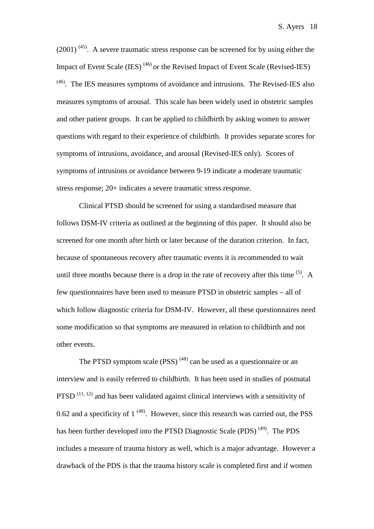$(2001)^{(45)}$ . A severe traumatic stress response can be screened for by using either the Impact of Event Scale (IES)  $^{(46)}$  or the Revised Impact of Event Scale (Revised-IES)  $<sup>(46)</sup>$ . The IES measures symptoms of avoidance and intrusions. The Revised-IES also</sup> measures symptoms of arousal. This scale has been widely used in obstetric samples and other patient groups. It can be applied to childbirth by asking women to answer questions with regard to their experience of childbirth. It provides separate scores for symptoms of intrusions, avoidance, and arousal (Revised-IES only). Scores of symptoms of intrusions or avoidance between 9-19 indicate a moderate traumatic stress response; 20+ indicates a severe traumatic stress response.

Clinical PTSD should be screened for using a standardised measure that follows DSM-IV criteria as outlined at the beginning of this paper. It should also be screened for one month after birth or later because of the duration criterion. In fact, because of spontaneous recovery after traumatic events it is recommended to wait until three months because there is a drop in the rate of recovery after this time  $(5)$ . A few questionnaires have been used to measure PTSD in obstetric samples – all of which follow diagnostic criteria for DSM-IV. However, all these questionnaires need some modification so that symptoms are measured in relation to childbirth and not other events.

The PTSD symptom scale  $(PSS)$ <sup> $(48)$ </sup> can be used as a questionnaire or an interview and is easily referred to childbirth. It has been used in studies of postnatal PTSD  $(11, 12)$  and has been validated against clinical interviews with a sensitivity of 0.62 and a specificity of  $1^{(48)}$ . However, since this research was carried out, the PSS has been further developed into the PTSD Diagnostic Scale (PDS)<sup>(49)</sup>. The PDS includes a measure of trauma history as well, which is a major advantage. However a drawback of the PDS is that the trauma history scale is completed first and if women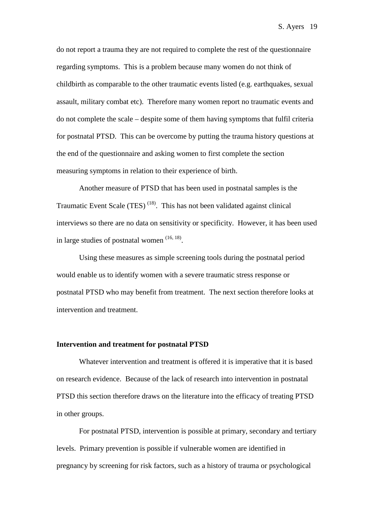do not report a trauma they are not required to complete the rest of the questionnaire regarding symptoms. This is a problem because many women do not think of childbirth as comparable to the other traumatic events listed (e.g. earthquakes, sexual assault, military combat etc). Therefore many women report no traumatic events and do not complete the scale – despite some of them having symptoms that fulfil criteria for postnatal PTSD. This can be overcome by putting the trauma history questions at the end of the questionnaire and asking women to first complete the section measuring symptoms in relation to their experience of birth.

Another measure of PTSD that has been used in postnatal samples is the Traumatic Event Scale  $(TES)$ <sup>(18)</sup>. This has not been validated against clinical interviews so there are no data on sensitivity or specificity. However, it has been used in large studies of postnatal women (16, 18).

Using these measures as simple screening tools during the postnatal period would enable us to identify women with a severe traumatic stress response or postnatal PTSD who may benefit from treatment. The next section therefore looks at intervention and treatment.

#### **Intervention and treatment for postnatal PTSD**

Whatever intervention and treatment is offered it is imperative that it is based on research evidence. Because of the lack of research into intervention in postnatal PTSD this section therefore draws on the literature into the efficacy of treating PTSD in other groups.

For postnatal PTSD, intervention is possible at primary, secondary and tertiary levels. Primary prevention is possible if vulnerable women are identified in pregnancy by screening for risk factors, such as a history of trauma or psychological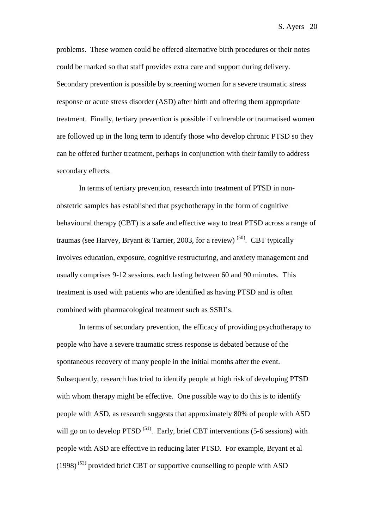problems. These women could be offered alternative birth procedures or their notes could be marked so that staff provides extra care and support during delivery. Secondary prevention is possible by screening women for a severe traumatic stress response or acute stress disorder (ASD) after birth and offering them appropriate treatment. Finally, tertiary prevention is possible if vulnerable or traumatised women are followed up in the long term to identify those who develop chronic PTSD so they can be offered further treatment, perhaps in conjunction with their family to address secondary effects.

In terms of tertiary prevention, research into treatment of PTSD in nonobstetric samples has established that psychotherapy in the form of cognitive behavioural therapy (CBT) is a safe and effective way to treat PTSD across a range of traumas (see Harvey, Bryant & Tarrier, 2003, for a review)  $^{(50)}$ . CBT typically involves education, exposure, cognitive restructuring, and anxiety management and usually comprises 9-12 sessions, each lasting between 60 and 90 minutes. This treatment is used with patients who are identified as having PTSD and is often combined with pharmacological treatment such as SSRI's.

In terms of secondary prevention, the efficacy of providing psychotherapy to people who have a severe traumatic stress response is debated because of the spontaneous recovery of many people in the initial months after the event. Subsequently, research has tried to identify people at high risk of developing PTSD with whom therapy might be effective. One possible way to do this is to identify people with ASD, as research suggests that approximately 80% of people with ASD will go on to develop  $PTSD^{(51)}$ . Early, brief CBT interventions (5-6 sessions) with people with ASD are effective in reducing later PTSD. For example, Bryant et al  $(1998)^{(52)}$  provided brief CBT or supportive counselling to people with ASD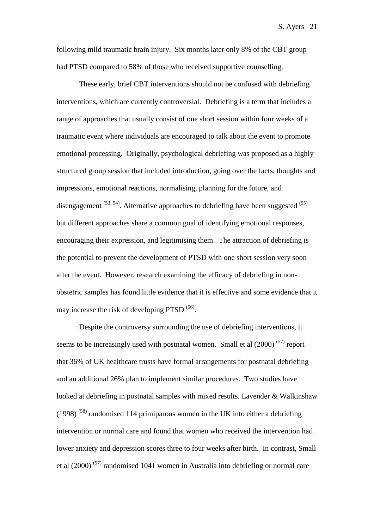following mild traumatic brain injury. Six months later only 8% of the CBT group had PTSD compared to 58% of those who received supportive counselling.

These early, brief CBT interventions should not be confused with debriefing interventions, which are currently controversial. Debriefing is a term that includes a range of approaches that usually consist of one short session within four weeks of a traumatic event where individuals are encouraged to talk about the event to promote emotional processing. Originally, psychological debriefing was proposed as a highly structured group session that included introduction, going over the facts, thoughts and impressions, emotional reactions, normalising, planning for the future, and disengagement  $(53, 54)$ . Alternative approaches to debriefing have been suggested  $(55)$ but different approaches share a common goal of identifying emotional responses, encouraging their expression, and legitimising them. The attraction of debriefing is the potential to prevent the development of PTSD with one short session very soon after the event. However, research examining the efficacy of debriefing in nonobstetric samples has found little evidence that it is effective and some evidence that it may increase the risk of developing PTSD <sup>(56)</sup>.

Despite the controversy surrounding the use of debriefing interventions, it seems to be increasingly used with postnatal women. Small et al  $(2000)^{(57)}$  report that 36% of UK healthcare trusts have formal arrangements for postnatal debriefing and an additional 26% plan to implement similar procedures. Two studies have looked at debriefing in postnatal samples with mixed results. Lavender & Walkinshaw  $(1998)$ <sup>(58)</sup> randomised 114 primiparous women in the UK into either a debriefing intervention or normal care and found that women who received the intervention had lower anxiety and depression scores three to four weeks after birth. In contrast, Small et al (2000) (57) randomised 1041 women in Australia into debriefing or normal care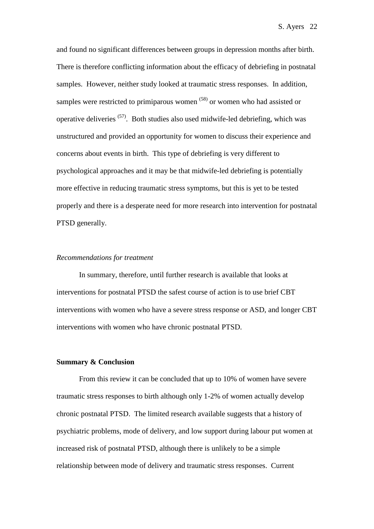and found no significant differences between groups in depression months after birth. There is therefore conflicting information about the efficacy of debriefing in postnatal samples. However, neither study looked at traumatic stress responses. In addition, samples were restricted to primiparous women <sup>(58)</sup> or women who had assisted or operative deliveries (57). Both studies also used midwife-led debriefing, which was unstructured and provided an opportunity for women to discuss their experience and concerns about events in birth. This type of debriefing is very different to psychological approaches and it may be that midwife-led debriefing is potentially more effective in reducing traumatic stress symptoms, but this is yet to be tested properly and there is a desperate need for more research into intervention for postnatal PTSD generally.

#### *Recommendations for treatment*

In summary, therefore, until further research is available that looks at interventions for postnatal PTSD the safest course of action is to use brief CBT interventions with women who have a severe stress response or ASD, and longer CBT interventions with women who have chronic postnatal PTSD.

#### **Summary & Conclusion**

From this review it can be concluded that up to 10% of women have severe traumatic stress responses to birth although only 1-2% of women actually develop chronic postnatal PTSD. The limited research available suggests that a history of psychiatric problems, mode of delivery, and low support during labour put women at increased risk of postnatal PTSD, although there is unlikely to be a simple relationship between mode of delivery and traumatic stress responses. Current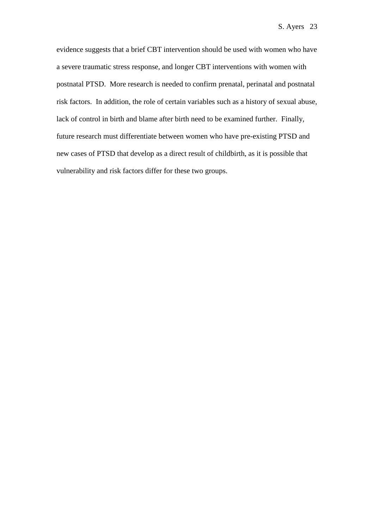evidence suggests that a brief CBT intervention should be used with women who have a severe traumatic stress response, and longer CBT interventions with women with postnatal PTSD. More research is needed to confirm prenatal, perinatal and postnatal risk factors. In addition, the role of certain variables such as a history of sexual abuse, lack of control in birth and blame after birth need to be examined further. Finally, future research must differentiate between women who have pre-existing PTSD and new cases of PTSD that develop as a direct result of childbirth, as it is possible that vulnerability and risk factors differ for these two groups.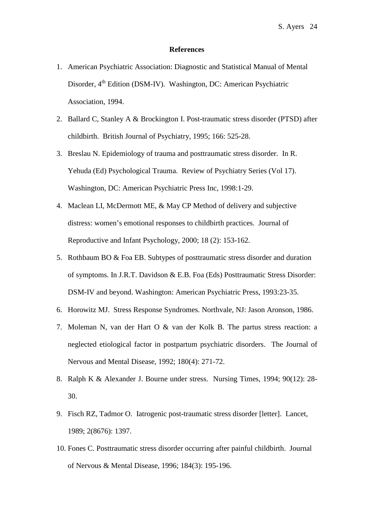#### **References**

- 1. American Psychiatric Association: Diagnostic and Statistical Manual of Mental Disorder, 4<sup>th</sup> Edition (DSM-IV). Washington, DC: American Psychiatric Association, 1994.
- 2. Ballard C, Stanley A & Brockington I. Post-traumatic stress disorder (PTSD) after childbirth. British Journal of Psychiatry, 1995; 166: 525-28.
- 3. Breslau N. Epidemiology of trauma and posttraumatic stress disorder. In R. Yehuda (Ed) Psychological Trauma. Review of Psychiatry Series (Vol 17). Washington, DC: American Psychiatric Press Inc, 1998:1-29.
- 4. Maclean LI, McDermott ME, & May CP Method of delivery and subjective distress: women's emotional responses to childbirth practices. Journal of Reproductive and Infant Psychology, 2000; 18 (2): 153-162.
- 5. Rothbaum BO & Foa EB. Subtypes of posttraumatic stress disorder and duration of symptoms. In J.R.T. Davidson & E.B. Foa (Eds) Posttraumatic Stress Disorder: DSM-IV and beyond. Washington: American Psychiatric Press, 1993:23-35.
- 6. Horowitz MJ. Stress Response Syndromes. Northvale, NJ: Jason Aronson, 1986.
- 7. Moleman N, van der Hart O & van der Kolk B. The partus stress reaction: a neglected etiological factor in postpartum psychiatric disorders. The Journal of Nervous and Mental Disease, 1992; 180(4): 271-72.
- 8. Ralph K & Alexander J. Bourne under stress. Nursing Times, 1994; 90(12): 28- 30.
- 9. Fisch RZ, Tadmor O. Iatrogenic post-traumatic stress disorder [letter]. Lancet, 1989; 2(8676): 1397.
- 10. Fones C. Posttraumatic stress disorder occurring after painful childbirth. Journal of Nervous & Mental Disease, 1996; 184(3): 195-196.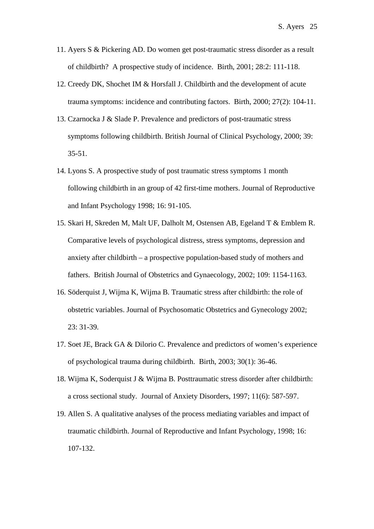- 11. Ayers S & Pickering AD. Do women get post-traumatic stress disorder as a result of childbirth? A prospective study of incidence. Birth, 2001; 28:2: 111-118.
- 12. Creedy DK, Shochet IM & Horsfall J. Childbirth and the development of acute trauma symptoms: incidence and contributing factors. Birth, 2000; 27(2): 104-11.
- 13. Czarnocka J & Slade P. Prevalence and predictors of post-traumatic stress symptoms following childbirth. British Journal of Clinical Psychology, 2000; 39: 35-51.
- 14. Lyons S. A prospective study of post traumatic stress symptoms 1 month following childbirth in an group of 42 first-time mothers. Journal of Reproductive and Infant Psychology 1998; 16: 91-105.
- 15. Skari H, Skreden M, Malt UF, Dalholt M, Ostensen AB, Egeland T & Emblem R. Comparative levels of psychological distress, stress symptoms, depression and anxiety after childbirth – a prospective population-based study of mothers and fathers. British Journal of Obstetrics and Gynaecology, 2002; 109: 1154-1163.
- 16. Söderquist J, Wijma K, Wijma B. Traumatic stress after childbirth: the role of obstetric variables. Journal of Psychosomatic Obstetrics and Gynecology 2002; 23: 31-39.
- 17. Soet JE, Brack GA & Dilorio C. Prevalence and predictors of women's experience of psychological trauma during childbirth. Birth, 2003; 30(1): 36-46.
- 18. Wijma K, Soderquist J & Wijma B. Posttraumatic stress disorder after childbirth: a cross sectional study. Journal of Anxiety Disorders, 1997; 11(6): 587-597.
- 19. Allen S. A qualitative analyses of the process mediating variables and impact of traumatic childbirth. Journal of Reproductive and Infant Psychology, 1998; 16: 107-132.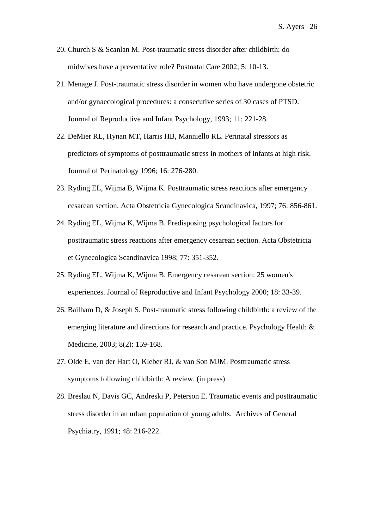- 20. Church S & Scanlan M. Post-traumatic stress disorder after childbirth: do midwives have a preventative role? Postnatal Care 2002; 5: 10-13.
- 21. Menage J. Post-traumatic stress disorder in women who have undergone obstetric and/or gynaecological procedures: a consecutive series of 30 cases of PTSD. Journal of Reproductive and Infant Psychology, 1993; 11: 221-28.
- 22. DeMier RL, Hynan MT, Harris HB, Manniello RL. Perinatal stressors as predictors of symptoms of posttraumatic stress in mothers of infants at high risk. Journal of Perinatology 1996; 16: 276-280.
- 23. Ryding EL, Wijma B, Wijma K. Posttraumatic stress reactions after emergency cesarean section. Acta Obstetricia Gynecologica Scandinavica, 1997; 76: 856-861.
- 24. Ryding EL, Wijma K, Wijma B. Predisposing psychological factors for posttraumatic stress reactions after emergency cesarean section. Acta Obstetricia et Gynecologica Scandinavica 1998; 77: 351-352.
- 25. Ryding EL, Wijma K, Wijma B. Emergency cesarean section: 25 women's experiences. Journal of Reproductive and Infant Psychology 2000; 18: 33-39.
- 26. Bailham D, & Joseph S. Post-traumatic stress following childbirth: a review of the emerging literature and directions for research and practice. Psychology Health & Medicine, 2003; 8(2): 159-168.
- 27. Olde E, van der Hart O, Kleber RJ, & van Son MJM. Posttraumatic stress symptoms following childbirth: A review. (in press)
- 28. Breslau N, Davis GC, Andreski P, Peterson E. Traumatic events and posttraumatic stress disorder in an urban population of young adults. Archives of General Psychiatry, 1991; 48: 216-222.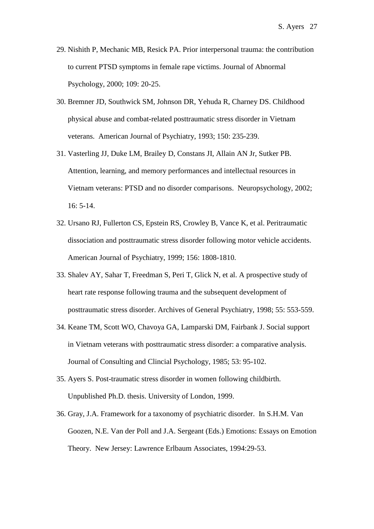- 29. Nishith P, Mechanic MB, Resick PA. Prior interpersonal trauma: the contribution to current PTSD symptoms in female rape victims. Journal of Abnormal Psychology, 2000; 109: 20-25.
- 30. Bremner JD, Southwick SM, Johnson DR, Yehuda R, Charney DS. Childhood physical abuse and combat-related posttraumatic stress disorder in Vietnam veterans. American Journal of Psychiatry, 1993; 150: 235-239.
- 31. Vasterling JJ, Duke LM, Brailey D, Constans JI, Allain AN Jr, Sutker PB. Attention, learning, and memory performances and intellectual resources in Vietnam veterans: PTSD and no disorder comparisons. Neuropsychology, 2002; 16: 5-14.
- 32. Ursano RJ, Fullerton CS, Epstein RS, Crowley B, Vance K, et al. Peritraumatic dissociation and posttraumatic stress disorder following motor vehicle accidents. American Journal of Psychiatry, 1999; 156: 1808-1810.
- 33. Shalev AY, Sahar T, Freedman S, Peri T, Glick N, et al. A prospective study of heart rate response following trauma and the subsequent development of posttraumatic stress disorder. Archives of General Psychiatry, 1998; 55: 553-559.
- 34. Keane TM, Scott WO, Chavoya GA, Lamparski DM, Fairbank J. Social support in Vietnam veterans with posttraumatic stress disorder: a comparative analysis. Journal of Consulting and Clincial Psychology, 1985; 53: 95-102.
- 35. Ayers S. Post-traumatic stress disorder in women following childbirth. Unpublished Ph.D. thesis. University of London, 1999.
- 36. Gray, J.A. Framework for a taxonomy of psychiatric disorder. In S.H.M. Van Goozen, N.E. Van der Poll and J.A. Sergeant (Eds.) Emotions: Essays on Emotion Theory. New Jersey: Lawrence Erlbaum Associates, 1994:29-53.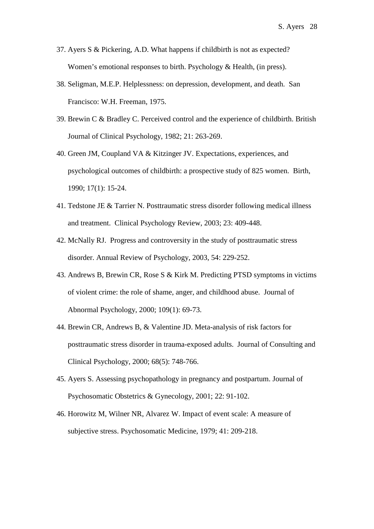- 37. Ayers S & Pickering, A.D. What happens if childbirth is not as expected? Women's emotional responses to birth. Psychology & Health, (in press).
- 38. Seligman, M.E.P. Helplessness: on depression, development, and death. San Francisco: W.H. Freeman, 1975.
- 39. Brewin C & Bradley C. Perceived control and the experience of childbirth. British Journal of Clinical Psychology, 1982; 21: 263-269.
- 40. Green JM, Coupland VA & Kitzinger JV. Expectations, experiences, and psychological outcomes of childbirth: a prospective study of 825 women. Birth, 1990; 17(1): 15-24.
- 41. Tedstone JE & Tarrier N. Posttraumatic stress disorder following medical illness and treatment. Clinical Psychology Review, 2003; 23: 409-448.
- 42. McNally RJ. Progress and controversity in the study of posttraumatic stress disorder. Annual Review of Psychology, 2003, 54: 229-252.
- 43. Andrews B, Brewin CR, Rose S & Kirk M. Predicting PTSD symptoms in victims of violent crime: the role of shame, anger, and childhood abuse. Journal of Abnormal Psychology, 2000; 109(1): 69-73.
- 44. Brewin CR, Andrews B, & Valentine JD. Meta-analysis of risk factors for posttraumatic stress disorder in trauma-exposed adults. Journal of Consulting and Clinical Psychology, 2000; 68(5): 748-766.
- 45. Ayers S. Assessing psychopathology in pregnancy and postpartum. Journal of Psychosomatic Obstetrics & Gynecology, 2001; 22: 91-102.
- 46. Horowitz M, Wilner NR, Alvarez W. Impact of event scale: A measure of subjective stress. Psychosomatic Medicine, 1979; 41: 209-218.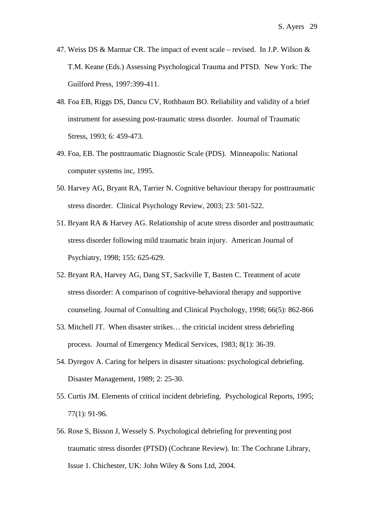- 47. Weiss DS & Marmar CR. The impact of event scale revised. In J.P. Wilson & T.M. Keane (Eds.) Assessing Psychological Trauma and PTSD. New York: The Guilford Press, 1997:399-411.
- 48. Foa EB, Riggs DS, Dancu CV, Rothbaum BO. Reliability and validity of a brief instrument for assessing post-traumatic stress disorder. Journal of Traumatic Stress, 1993; 6: 459-473.
- 49. Foa, EB. The posttraumatic Diagnostic Scale (PDS). Minneapolis: National computer systems inc, 1995.
- 50. Harvey AG, Bryant RA, Tarrier N. Cognitive behaviour therapy for posttraumatic stress disorder. Clinical Psychology Review, 2003; 23: 501-522.
- 51. Bryant RA & Harvey AG. Relationship of acute stress disorder and posttraumatic stress disorder following mild traumatic brain injury. American Journal of Psychiatry, 1998; 155: 625-629.
- 52. [Bryant RA,](http://webspirs.bids.ac.uk/webspirs/doLS.ws?ss=Bryant-Richard-A+in+AU) [Harvey AG,](http://webspirs.bids.ac.uk/webspirs/doLS.ws?ss=Harvey-Allison-G+in+AU) [Dang ST,](http://webspirs.bids.ac.uk/webspirs/doLS.ws?ss=Dang-Suzanne-T+in+AU) [Sackville T,](http://webspirs.bids.ac.uk/webspirs/doLS.ws?ss=Sackville-Tanya+in+AU) [Basten C.](http://webspirs.bids.ac.uk/webspirs/doLS.ws?ss=Basten-Chris+in+AU) Treatment of acute stress disorder: A comparison of cognitive-behavioral therapy and supportive counseling. [Journal of Consulting and Clinical Psychology,](http://webspirs.bids.ac.uk/webspirs/doLS.ws?ss=Journal-of-Consulting-and-Clinical-Psychology+in+SO) 1998; 66(5): 862-866
- 53. Mitchell JT. When disaster strikes… the criticial incident stress debriefing process. Journal of Emergency Medical Services, 1983; 8(1): 36-39.
- 54. Dyregov A. Caring for helpers in disaster situations: psychological debriefing. Disaster Management, 1989; 2: 25-30.
- 55. Curtis JM. Elements of critical incident debriefing. Psychological Reports, 1995; 77(1): 91-96.
- 56. Rose S, Bisson J, Wessely S. Psychological debriefing for preventing post traumatic stress disorder (PTSD) (Cochrane Review). In: The Cochrane Library, Issue 1. Chichester, UK: John Wiley & Sons Ltd, 2004.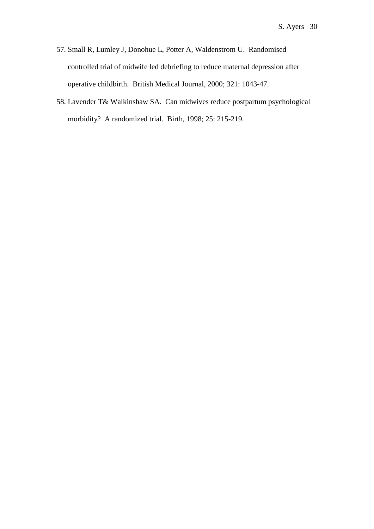- 57. Small R, Lumley J, Donohue L, Potter A, Waldenstrom U. Randomised controlled trial of midwife led debriefing to reduce maternal depression after operative childbirth. British Medical Journal, 2000; 321: 1043-47.
- 58. Lavender T& Walkinshaw SA. Can midwives reduce postpartum psychological morbidity? A randomized trial. Birth, 1998; 25: 215-219.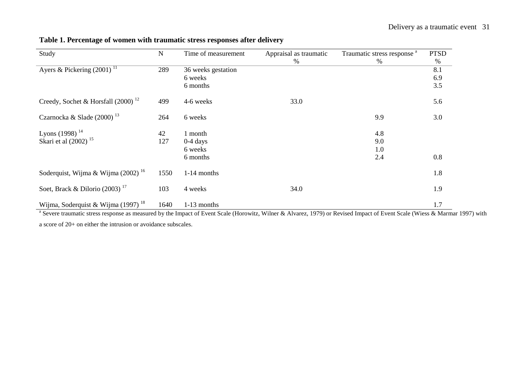| Study                                          | N    | Time of measurement | Appraisal as traumatic | Traumatic stress response <sup>a</sup> | <b>PTSD</b> |
|------------------------------------------------|------|---------------------|------------------------|----------------------------------------|-------------|
|                                                |      |                     | %                      | $\%$                                   | %           |
| Ayers & Pickering $(2001)^{11}$                | 289  | 36 weeks gestation  |                        |                                        | 8.1         |
|                                                |      | 6 weeks             |                        |                                        | 6.9         |
|                                                |      | 6 months            |                        |                                        | 3.5         |
| Creedy, Sochet & Horsfall $(2000)^{12}$        | 499  | 4-6 weeks           | 33.0                   |                                        | 5.6         |
| Czarnocka & Slade (2000) <sup>13</sup>         | 264  | 6 weeks             |                        | 9.9                                    | 3.0         |
| Lyons (1998) $^{14}$                           | 42   | 1 month             |                        | 4.8                                    |             |
| Skari et al (2002) <sup>15</sup>               | 127  | $0-4$ days          |                        | 9.0                                    |             |
|                                                |      | 6 weeks             |                        | 1.0                                    |             |
|                                                |      | 6 months            |                        | 2.4                                    | 0.8         |
| Soderquist, Wijma & Wijma $(2002)^{16}$        | 1550 | 1-14 months         |                        |                                        | 1.8         |
| Soet, Brack & Dilorio $(2003)$ <sup>17</sup>   | 103  | 4 weeks             | 34.0                   |                                        | 1.9         |
| Wijma, Soderquist & Wijma (1997) <sup>18</sup> | 1640 | 1-13 months         |                        |                                        | 1.7         |

**Table 1. Percentage of women with traumatic stress responses after delivery**

<sup>a</sup> Severe traumatic stress response as measured by the Impact of Event Scale (Horowitz, Wilner & Alvarez, 1979) or Revised Impact of Event Scale (Wiess & Marmar 1997) with a score of 20+ on either the intrusion or avoidance subscales.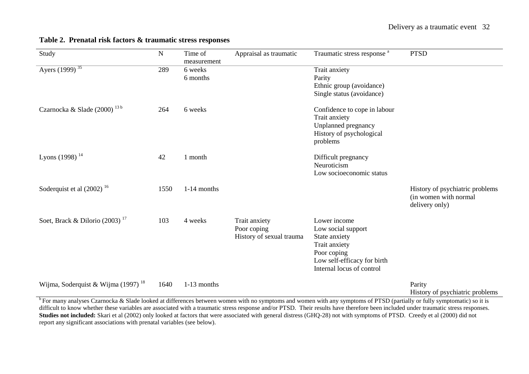| Study                                        | ${\bf N}$ | Time of<br>measurement | Appraisal as traumatic                                   | Traumatic stress response <sup>a</sup>                                                                                                          | <b>PTSD</b>                                                                |
|----------------------------------------------|-----------|------------------------|----------------------------------------------------------|-------------------------------------------------------------------------------------------------------------------------------------------------|----------------------------------------------------------------------------|
| Ayers $(1999)^{35}$                          | 289       | 6 weeks<br>6 months    |                                                          | Trait anxiety<br>Parity<br>Ethnic group (avoidance)<br>Single status (avoidance)                                                                |                                                                            |
| Czarnocka & Slade (2000) <sup>13b</sup>      | 264       | 6 weeks                |                                                          | Confidence to cope in labour<br>Trait anxiety<br>Unplanned pregnancy<br>History of psychological<br>problems                                    |                                                                            |
| Lyons (1998) <sup>14</sup>                   | 42        | 1 month                |                                                          | Difficult pregnancy<br>Neuroticism<br>Low socioeconomic status                                                                                  |                                                                            |
| Soderquist et al $(2002)^{16}$               | 1550      | 1-14 months            |                                                          |                                                                                                                                                 | History of psychiatric problems<br>(in women with normal<br>delivery only) |
| Soet, Brack & Dilorio $(2003)$ <sup>17</sup> | 103       | 4 weeks                | Trait anxiety<br>Poor coping<br>History of sexual trauma | Lower income<br>Low social support<br>State anxiety<br>Trait anxiety<br>Poor coping<br>Low self-efficacy for birth<br>Internal locus of control |                                                                            |
| Wijma, Soderquist & Wijma $(1997)^{18}$      | 1640      | 1-13 months            |                                                          |                                                                                                                                                 | Parity<br>History of psychiatric problems                                  |

#### **Table 2. Prenatal risk factors & traumatic stress responses**

 $\overline{b}$  For many analyses Czarnocka & Slade looked at differences between women with no symptoms and women with any symptoms of PTSD (partially or fully symptomatic) so it is difficult to know whether these variables are associated with a traumatic stress response and/or PTSD. Their results have therefore been included under traumatic stress responses. **Studies not included:** Skari et al (2002) only looked at factors that were associated with general distress (GHQ-28) not with symptoms of PTSD. Creedy et al (2000) did not report any significant associations with prenatal variables (see below).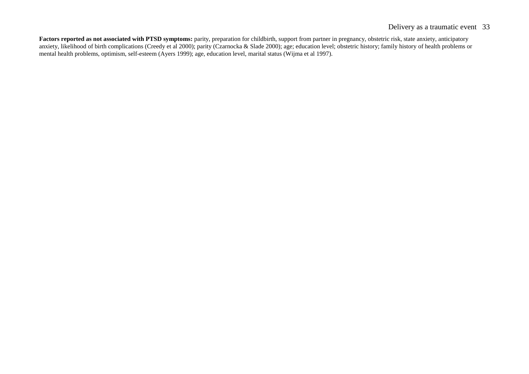#### Delivery as a traumatic event 33

**Factors reported as not associated with PTSD symptoms:** parity, preparation for childbirth, support from partner in pregnancy, obstetric risk, state anxiety, anticipatory anxiety, likelihood of birth complications (Creedy et al 2000); parity (Czarnocka & Slade 2000); age; education level; obstetric history; family history of health problems or mental health problems, optimism, self-esteem (Ayers 1999); age, education level, marital status (Wijma et al 1997).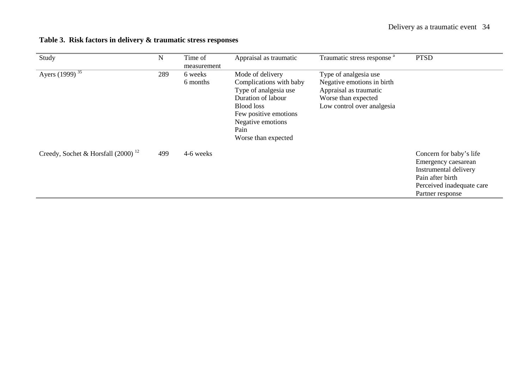| Table 3. Risk factors in delivery & traumatic stress responses |  |
|----------------------------------------------------------------|--|
|----------------------------------------------------------------|--|

| Study                                   | $\mathbf N$ | Time of<br>measurement | Appraisal as traumatic                                                                                                                                                                       | Traumatic stress response <sup>a</sup>                                                                                             | <b>PTSD</b>                                                                                                                                  |
|-----------------------------------------|-------------|------------------------|----------------------------------------------------------------------------------------------------------------------------------------------------------------------------------------------|------------------------------------------------------------------------------------------------------------------------------------|----------------------------------------------------------------------------------------------------------------------------------------------|
| Ayers $(1999)^{35}$                     | 289         | 6 weeks<br>6 months    | Mode of delivery<br>Complications with baby<br>Type of analgesia use<br>Duration of labour<br><b>Blood loss</b><br>Few positive emotions<br>Negative emotions<br>Pain<br>Worse than expected | Type of analgesia use<br>Negative emotions in birth<br>Appraisal as traumatic<br>Worse than expected<br>Low control over analgesia |                                                                                                                                              |
| Creedy, Sochet & Horsfall $(2000)^{12}$ | 499         | 4-6 weeks              |                                                                                                                                                                                              |                                                                                                                                    | Concern for baby's life<br>Emergency caesarean<br>Instrumental delivery<br>Pain after birth<br>Perceived inadequate care<br>Partner response |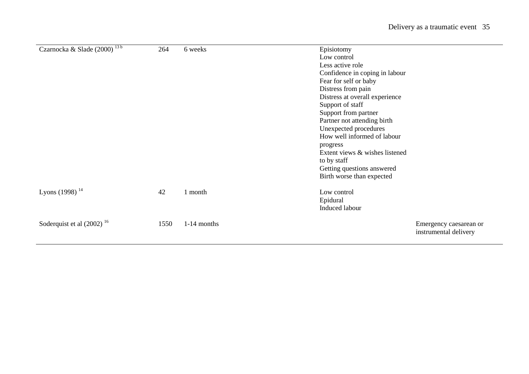| Czarnocka & Slade (2000) <sup>13b</sup> | 264  | 6 weeks       | Episiotomy<br>Low control      |                                                 |
|-----------------------------------------|------|---------------|--------------------------------|-------------------------------------------------|
|                                         |      |               | Less active role               |                                                 |
|                                         |      |               | Confidence in coping in labour |                                                 |
|                                         |      |               | Fear for self or baby          |                                                 |
|                                         |      |               | Distress from pain             |                                                 |
|                                         |      |               | Distress at overall experience |                                                 |
|                                         |      |               | Support of staff               |                                                 |
|                                         |      |               | Support from partner           |                                                 |
|                                         |      |               | Partner not attending birth    |                                                 |
|                                         |      |               | Unexpected procedures          |                                                 |
|                                         |      |               | How well informed of labour    |                                                 |
|                                         |      |               | progress                       |                                                 |
|                                         |      |               | Extent views & wishes listened |                                                 |
|                                         |      |               | to by staff                    |                                                 |
|                                         |      |               | Getting questions answered     |                                                 |
|                                         |      |               | Birth worse than expected      |                                                 |
| Lyons (1998) $^{14}$                    | 42   | 1 month       | Low control                    |                                                 |
|                                         |      |               | Epidural                       |                                                 |
|                                         |      |               | Induced labour                 |                                                 |
| Soderquist et al $(2002)^{16}$          | 1550 | $1-14$ months |                                | Emergency caesarean or<br>instrumental delivery |
|                                         |      |               |                                |                                                 |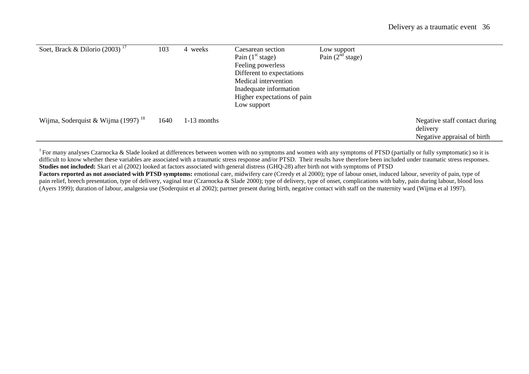| Soet, Brack & Dilorio $\overline{(2003)}^{\overline{17}}$ | 103  | 4 weeks       | Caesarean section<br>Pain $(1st stage)$<br>Feeling powerless<br>Different to expectations<br>Medical intervention<br>Inadequate information<br>Higher expectations of pain<br>Low support | Low support<br>Pain $(2^{nd}$ stage) |                                                                          |
|-----------------------------------------------------------|------|---------------|-------------------------------------------------------------------------------------------------------------------------------------------------------------------------------------------|--------------------------------------|--------------------------------------------------------------------------|
| Wijma, Soderquist & Wijma (1997) <sup>18</sup>            | 1640 | $1-13$ months |                                                                                                                                                                                           |                                      | Negative staff contact during<br>delivery<br>Negative appraisal of birth |

<sup>1</sup> For many analyses Czarnocka & Slade looked at differences between women with no symptoms and women with any symptoms of PTSD (partially or fully symptomatic) so it is difficult to know whether these variables are associated with a traumatic stress response and/or PTSD. Their results have therefore been included under traumatic stress responses. **Studies not included:** Skari et al (2002) looked at factors associated with general distress (GHQ-28) after birth not with symptoms of PTSD

Factors reported as not associated with PTSD symptoms: emotional care, midwifery care (Creedy et al 2000); type of labour onset, induced labour, severity of pain, type of pain relief, breech presentation, type of delivery, vaginal tear (Czarnocka & Slade 2000); type of delivery, type of onset, complications with baby, pain during labour, blood loss (Ayers 1999); duration of labour, analgesia use (Soderquist et al 2002); partner present during birth, negative contact with staff on the maternity ward (Wijma et al 1997).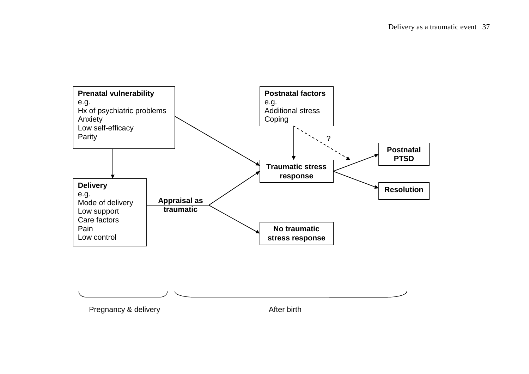